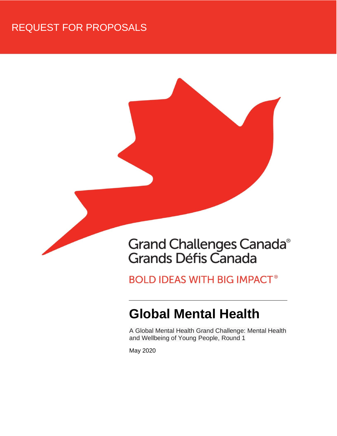## REQUEST FOR PROPOSALS



## **BOLD IDEAS WITH BIG IMPACT®**

# **Global Mental Health**

A Global Mental Health Grand Challenge: Mental Health and Wellbeing of Young People, Round 1

May 2020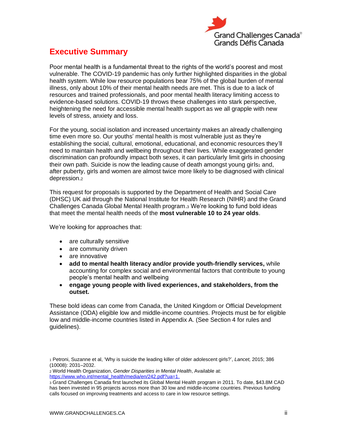

## <span id="page-1-0"></span>**Executive Summary**

Poor mental health is a fundamental threat to the rights of the world's poorest and most vulnerable. The COVID-19 pandemic has only further highlighted disparities in the global health system. While low resource populations bear 75% of the global burden of mental illness, only about 10% of their mental health needs are met. This is due to a lack of resources and trained professionals, and poor mental health literacy limiting access to evidence-based solutions. COVID-19 throws these challenges into stark perspective, heightening the need for accessible mental health support as we all grapple with new levels of stress, anxiety and loss.

For the young, social isolation and increased uncertainty makes an already challenging time even more so. Our youths' mental health is most vulnerable just as they're establishing the social, cultural, emotional, educational, and economic resources they'll need to maintain health and wellbeing throughout their lives. While exaggerated gender discrimination can profoundly impact both sexes, it can particularly limit girls in choosing their own path. Suicide is now the leading cause of death amongst young girls $_1$  and, after puberty, girls and women are almost twice more likely to be diagnosed with clinical depression.<sup>2</sup>

This request for proposals is supported by the Department of Health and Social Care (DHSC) UK aid through the National Institute for Health Research (NIHR) and the Grand Challenges Canada Global Mental Health program.<sup>3</sup> We're looking to fund bold ideas that meet the mental health needs of the **most vulnerable 10 to 24 year olds**.

We're looking for approaches that:

- are culturally sensitive
- are community driven
- are innovative
- **add to mental health literacy and/or provide youth-friendly services,** while accounting for complex social and environmental factors that contribute to young people's mental health and wellbeing
- **engage young people with lived experiences, and stakeholders, from the outset.**

These bold ideas can come from Canada, the United Kingdom or Official Development Assistance (ODA) eligible low and middle-income countries. Projects must be for eligible low and middle-income countries listed in Appendix A. (See Section 4 for rules and guidelines).

<sup>1</sup> Petroni, Suzanne et al, 'Why is suicide the leading killer of older adolescent girls?', *Lancet,* 2015; 386 (10008): 2031–2032.

<sup>2</sup> World Health Organization, *Gender Disparities in Mental Health*, Available at: [https://www.who.int/mental\\_health/media/en/242.pdf?ua=1.](https://www.who.int/mental_health/media/en/242.pdf?ua=1)

<sup>3</sup> Grand Challenges Canada first launched its Global Mental Health program in 2011. To date, \$43.8M CAD has been invested in 95 projects across more than 30 low and middle-income countries. Previous funding calls focused on improving treatments and access to care in low resource settings.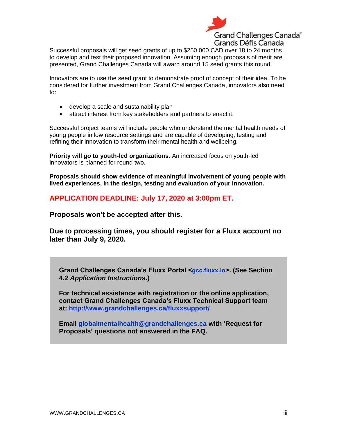

Successful proposals will get seed grants of up to \$250,000 CAD over 18 to 24 months to develop and test their proposed innovation. Assuming enough proposals of merit are presented, Grand Challenges Canada will award around 15 seed grants this round.

Innovators are to use the seed grant to demonstrate proof of concept of their idea. To be considered for further investment from Grand Challenges Canada, innovators also need to:

- develop a scale and sustainability plan
- attract interest from key stakeholders and partners to enact it.

Successful project teams will include people who understand the mental health needs of young people in low resource settings and are capable of developing, testing and refining their innovation to transform their mental health and wellbeing.

**Priority will go to youth-led organizations.** An increased focus on youth-led innovators is planned for round two**.** 

**Proposals should show evidence of meaningful involvement of young people with lived experiences, in the design, testing and evaluation of your innovation.**

**APPLICATION DEADLINE: July 17, 2020 at 3:00pm ET.** 

**Proposals won't be accepted after this.** 

**Due to processing times, you should register for a Fluxx account no later than July 9, 2020.**

**Grand Challenges Canada's Fluxx Portal <[gcc.fluxx.io](/Users/julieharris/Library/Containers/com.apple.mail/Data/Library/Mail%20Downloads/EAEECFB7-8F8A-4C44-8D95-0AD4C954BD5A/gcc.fluxx.io)>. (See Section 4.2** *Application Instructions.***)** 

**For technical assistance with registration or the online application, contact Grand Challenges Canada's Fluxx Technical Support team at: <http://www.grandchallenges.ca/fluxxsupport/>**

**Email [globalmentalhealth@grandchallenges.ca](mailto:globalmentalhealth@grandchallenges.ca) with 'Request for Proposals' questions not answered in the FAQ.**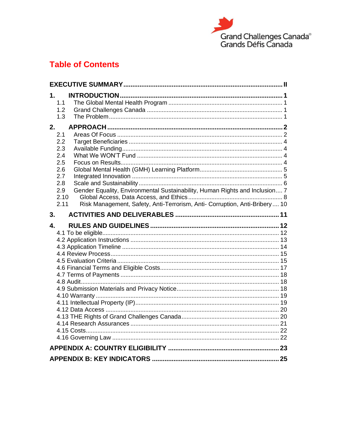

## **Table of Contents**

| 1.       | 1.1<br>1.2<br>1.3                       |                                                                             |  |  |  |
|----------|-----------------------------------------|-----------------------------------------------------------------------------|--|--|--|
| 2.       | 2.1<br>2.2<br>2.3<br>2.4                |                                                                             |  |  |  |
|          | 2.5<br>2.6<br>2.7<br>2.8<br>2.9<br>2.10 | Gender Equality, Environmental Sustainability, Human Rights and Inclusion 7 |  |  |  |
| 3.<br>4. | 2.11                                    | Risk Management, Safety, Anti-Terrorism, Anti- Corruption, Anti-Bribery 10  |  |  |  |
|          |                                         |                                                                             |  |  |  |
|          |                                         |                                                                             |  |  |  |
|          |                                         |                                                                             |  |  |  |
|          |                                         |                                                                             |  |  |  |
|          |                                         |                                                                             |  |  |  |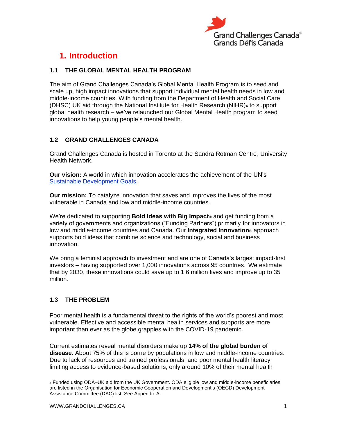

## <span id="page-4-0"></span>**1. Introduction**

## <span id="page-4-1"></span>**1.1 THE GLOBAL MENTAL HEALTH PROGRAM**

The aim of Grand Challenges Canada's Global Mental Health Program is to seed and scale up, high impact innovations that support individual mental health needs in low and middle-income countries. With funding from the Department of Health and Social Care (DHSC) UK aid through the National Institute for Health Research (NIHR)<sup>4</sup> to support global health research – we've relaunched our Global Mental Health program to seed innovations to help young people's mental health*.*

## <span id="page-4-2"></span>**1.2 GRAND CHALLENGES CANADA**

Grand Challenges Canada is hosted in Toronto at the Sandra Rotman Centre, University Health Network.

**Our vision:** A world in which innovation accelerates the achievement of the UN's [Sustainable Development Goals.](https://sustainabledevelopment.un.org/?menu=1300)

**Our mission:** To catalyze innovation that saves and improves the lives of the most vulnerable in Canada and low and middle-income countries.

We're dedicated to supporting **Bold Ideas with Big Impact**® and get funding from a variety of governments and organizations ("Funding Partners") primarily for innovators in low and middle-income countries and Canada. Our **Integrated Innovation**® approach supports bold ideas that combine science and technology, social and business innovation.

We bring a feminist approach to investment and are one of Canada's largest impact-first investors – having supported over 1,000 innovations across 95 countries. We estimate that by 2030, these innovations could save up to 1.6 million lives and improve up to 35 million.

## <span id="page-4-3"></span>**1.3 THE PROBLEM**

Poor mental health is a fundamental threat to the rights of the world's poorest and most vulnerable. Effective and accessible mental health services and supports are more important than ever as the globe grapples with the COVID-19 pandemic.

Current estimates reveal mental disorders make up **14% of the global burden of disease.** About 75% of this is borne by populations in low and middle-income countries. Due to lack of resources and trained professionals, and poor mental health literacy limiting access to evidence-based solutions, only around 10% of their mental health

<sup>4</sup> Funded using ODA–UK aid from the UK Government. ODA eligible low and middle-income beneficiaries are listed in the Organisation for Economic Cooperation and Development's (OECD) Development Assistance Committee (DAC) list. See Appendix A.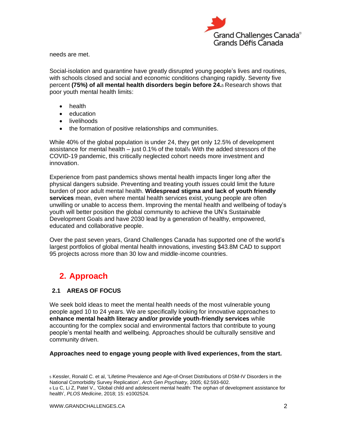

needs are met.

Social-isolation and quarantine have greatly disrupted young people's lives and routines, with schools closed and social and economic conditions changing rapidly. Seventy five percent **(75%) of all mental health disorders begin before 24.**<sup>5</sup> Research shows that poor youth mental health limits:

- health
- education
- livelihoods
- the formation of positive relationships and communities.

While 40% of the global population is under 24, they get only 12.5% of development assistance for mental health – just 0.1% of the total!<sup>6</sup> With the added stressors of the COVID-19 pandemic, this critically neglected cohort needs more investment and innovation.

Experience from past pandemics shows mental health impacts linger long after the physical dangers subside. Preventing and treating youth issues could limit the future burden of poor adult mental health. **Widespread stigma and lack of youth friendly services** mean, even where mental health services exist, young people are often unwilling or unable to access them. Improving the mental health and wellbeing of today's youth will better position the global community to achieve the UN's Sustainable Development Goals and have 2030 lead by a generation of healthy, empowered, educated and collaborative people.

Over the past seven years, Grand Challenges Canada has supported one of the world's largest portfolios of global mental health innovations, investing \$43.8M CAD to support 95 projects across more than 30 low and middle-income countries.

## <span id="page-5-0"></span>**2. Approach**

## <span id="page-5-1"></span>**2.1 AREAS OF FOCUS**

We seek bold ideas to meet the mental health needs of the most vulnerable young people aged 10 to 24 years. We are specifically looking for innovative approaches to **enhance mental health literacy and/or provide youth-friendly services** while accounting for the complex social and environmental factors that contribute to young people's mental health and wellbeing. Approaches should be culturally sensitive and community driven.

**Approaches need to engage young people with lived experiences, from the start.**

<sup>5</sup> Kessler, Ronald C. et al, 'Lifetime Prevalence and Age-of-Onset Distributions of DSM-IV Disorders in the National Comorbidity Survey Replication', *Arch Gen Psychiatry*, 2005; 62:593-602. <sup>6</sup> Lu C, Li Z, Patel V., 'Global child and adolescent mental health: The orphan of development assistance for health', *PLOS Medicine*, 2018; 15: e1002524.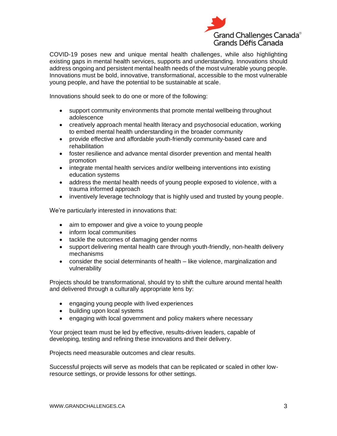

COVID-19 poses new and unique mental health challenges, while also highlighting existing gaps in mental health services, supports and understanding. Innovations should address ongoing and persistent mental health needs of the most vulnerable young people. Innovations must be bold, innovative, transformational, accessible to the most vulnerable young people, and have the potential to be sustainable at scale.

Innovations should seek to do one or more of the following:

- support community environments that promote mental wellbeing throughout adolescence
- creatively approach mental health literacy and psychosocial education, working to embed mental health understanding in the broader community
- provide effective and affordable youth-friendly community-based care and rehabilitation
- foster resilience and advance mental disorder prevention and mental health promotion
- integrate mental health services and/or wellbeing interventions into existing education systems
- address the mental health needs of young people exposed to violence, with a trauma informed approach
- inventively leverage technology that is highly used and trusted by young people.

We're particularly interested in innovations that:

- aim to empower and give a voice to young people
- inform local communities
- tackle the outcomes of damaging gender norms
- support delivering mental health care through youth-friendly, non-health delivery mechanisms
- consider the social determinants of health like violence, marginalization and vulnerability

Projects should be transformational, should try to shift the culture around mental health and delivered through a culturally appropriate lens by:

- engaging young people with lived experiences
- building upon local systems
- engaging with local government and policy makers where necessary

Your project team must be led by effective, results-driven leaders, capable of developing, testing and refining these innovations and their delivery.

Projects need measurable outcomes and clear results.

Successful projects will serve as models that can be replicated or scaled in other lowresource settings, or provide lessons for other settings.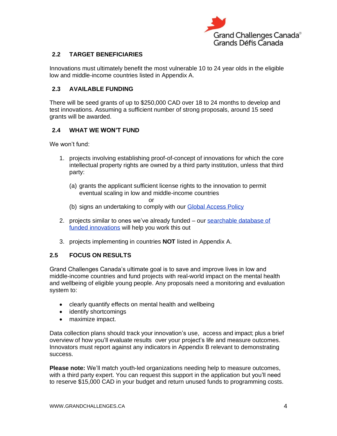

## <span id="page-7-0"></span>**2.2 TARGET BENEFICIARIES**

Innovations must ultimately benefit the most vulnerable 10 to 24 year olds in the eligible low and middle-income countries listed in Appendix A.

## <span id="page-7-1"></span>**2.3 AVAILABLE FUNDING**

There will be seed grants of up to \$250,000 CAD over 18 to 24 months to develop and test innovations. Assuming a sufficient number of strong proposals, around 15 seed grants will be awarded.

## <span id="page-7-2"></span>**2.4 WHAT WE WON'T FUND**

We won't fund:

- 1. projects involving establishing proof-of-concept of innovations for which the core intellectual property rights are owned by a third party institution, unless that third party:
	- (a) grants the applicant sufficient license rights to the innovation to permit eventual scaling in low and middle-income countries

 $\alpha$ r

- (b) signs an undertaking to comply with our [Global Access Policy](https://www.grandchallenges.ca/wp-content/uploads/2019/03/Global-Access-Policy_March-5-2019_ENG.pdf)
- 2. projects similar to ones we've already funded our [searchable database of](http://www.grandchallenges.ca/who-we-are/discover-our-innovations-and-results/)  [funded innovations](http://www.grandchallenges.ca/who-we-are/discover-our-innovations-and-results/) will help you work this out
- 3. projects implementing in countries **NOT** listed in Appendix A.

## <span id="page-7-3"></span>**2.5 FOCUS ON RESULTS**

Grand Challenges Canada's ultimate goal is to save and improve lives in low and middle-income countries and fund projects with real-world impact on the mental health and wellbeing of eligible young people. Any proposals need a monitoring and evaluation system to:

- clearly quantify effects on mental health and wellbeing
- identify shortcomings
- maximize impact.

Data collection plans should track your innovation's use, access and impact; plus a brief overview of how you'll evaluate results over your project's life and measure outcomes. Innovators must report against any indicators in Appendix B relevant to demonstrating success.

**Please note:** We'll match youth-led organizations needing help to measure outcomes, with a third party expert. You can request this support in the application but you'll need to reserve \$15,000 CAD in your budget and return unused funds to programming costs.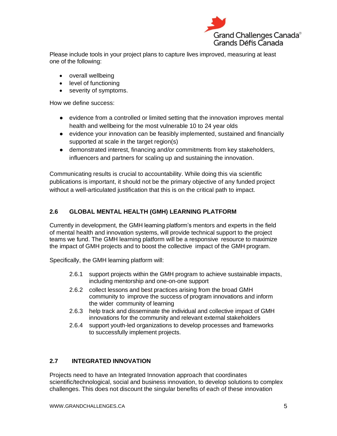

Please include tools in your project plans to capture lives improved, measuring at least one of the following:

- overall wellbeing
- level of functioning
- severity of symptoms.

How we define success:

- evidence from a controlled or limited setting that the innovation improves mental health and wellbeing for the most vulnerable 10 to 24 year olds
- evidence your innovation can be feasibly implemented, sustained and financially supported at scale in the target region(s)
- demonstrated interest, financing and/or commitments from key stakeholders, influencers and partners for scaling up and sustaining the innovation.

Communicating results is crucial to accountability. While doing this via scientific publications is important, it should not be the primary objective of any funded project without a well-articulated justification that this is on the critical path to impact.

## <span id="page-8-0"></span>**2.6 GLOBAL MENTAL HEALTH (GMH) LEARNING PLATFORM**

Currently in development, the GMH learning platform's mentors and experts in the field of mental health and innovation systems, will provide technical support to the project teams we fund. The GMH learning platform will be a responsive resource to maximize the impact of GMH projects and to boost the collective impact of the GMH program.

Specifically, the GMH learning platform will:

- 2.6.1 support projects within the GMH program to achieve sustainable impacts, including mentorship and one-on-one support
- 2.6.2 collect lessons and best practices arising from the broad GMH community to improve the success of program innovations and inform the wider community of learning
- 2.6.3 help track and disseminate the individual and collective impact of GMH innovations for the community and relevant external stakeholders
- 2.6.4 support youth-led organizations to develop processes and frameworks to successfully implement projects.

## <span id="page-8-1"></span>**2.7 INTEGRATED INNOVATION**

Projects need to have an Integrated Innovation approach that coordinates scientific/technological, social and business innovation, to develop solutions to complex challenges. This does not discount the singular benefits of each of these innovation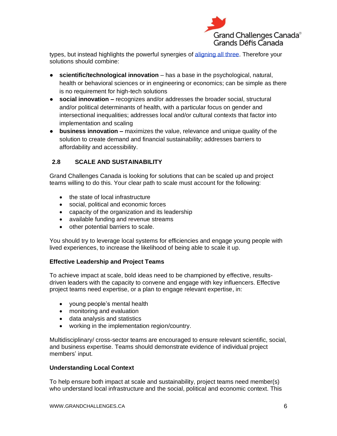

types, but instead highlights the powerful synergies of [aligning all three.](https://www.grandchallenges.ca/funding-opportunities/integrated-innovation/) Therefore your solutions should combine:

- **scientific/technological innovation** has a base in the psychological, natural, health or behavioral sciences or in engineering or economics; can be simple as there is no requirement for high-tech solutions
- **social innovation –** recognizes and/or addresses the broader social, structural and/or political determinants of health, with a particular focus on gender and intersectional inequalities; addresses local and/or cultural contexts that factor into implementation and scaling
- **business innovation –** maximizes the value, relevance and unique quality of the solution to create demand and financial sustainability; addresses barriers to affordability and accessibility.

## <span id="page-9-0"></span>**2.8 SCALE AND SUSTAINABILITY**

Grand Challenges Canada is looking for solutions that can be scaled up and project teams willing to do this. Your clear path to scale must account for the following:

- the state of local infrastructure
- social, political and economic forces
- capacity of the organization and its leadership
- available funding and revenue streams
- other potential barriers to scale.

You should try to leverage local systems for efficiencies and engage young people with lived experiences, to increase the likelihood of being able to scale it up.

#### **Effective Leadership and Project Teams**

To achieve impact at scale, bold ideas need to be championed by effective, resultsdriven leaders with the capacity to convene and engage with key influencers. Effective project teams need expertise, or a plan to engage relevant expertise, in:

- young people's mental health
- monitoring and evaluation
- data analysis and statistics
- working in the implementation region/country.

Multidisciplinary/ cross-sector teams are encouraged to ensure relevant scientific, social, and business expertise. Teams should demonstrate evidence of individual project members' input.

#### **Understanding Local Context**

To help ensure both impact at scale and sustainability, project teams need member(s) who understand local infrastructure and the social, political and economic context. This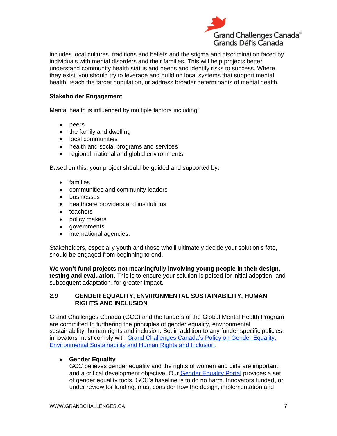

includes local cultures, traditions and beliefs and the stigma and discrimination faced by individuals with mental disorders and their families. This will help projects better understand community health status and needs and identify risks to success. Where they exist, you should try to leverage and build on local systems that support mental health, reach the target population, or address broader determinants of mental health.

#### **Stakeholder Engagement**

Mental health is influenced by multiple factors including:

- peers
- the family and dwelling
- local communities
- health and social programs and services
- regional, national and global environments.

Based on this, your project should be guided and supported by:

- families
- communities and community leaders
- businesses
- healthcare providers and institutions
- teachers
- policy makers
- governments
- international agencies.

Stakeholders, especially youth and those who'll ultimately decide your solution's fate, should be engaged from beginning to end.

**We won't fund projects not meaningfully involving young people in their design, testing and evaluation**. This is to ensure your solution is poised for initial adoption, and subsequent adaptation, for greater impact**.** 

#### <span id="page-10-0"></span>**2.9 GENDER EQUALITY, ENVIRONMENTAL SUSTAINABILITY, HUMAN RIGHTS AND INCLUSION**

Grand Challenges Canada (GCC) and the funders of the Global Mental Health Program are committed to furthering the principles of gender equality, environmental sustainability, human rights and inclusion. So, in addition to any funder specific policies, innovators must comply with [Grand Challenges Canada's](http://www.grandchallenges.ca/wp-content/uploads/2018/06/GEHRPolicy-2018Jun28-EN.pdf) Policy on Gender Equality, [Environmental Sustainability and Human Rights and Inclusion.](http://www.grandchallenges.ca/wp-content/uploads/2018/06/GEHRPolicy-2018Jun28-EN.pdf)

## • **[Gender Equality](http://www.grandchallenges.ca/funding-opportunities/gender/)**

GCC believes gender equality and the rights of women and girls are important, and a critical development objective. Our [Gender Equality Portal](https://www.grandchallenges.ca/funding-opportunities/gender/) provides a set of gender equality tools. GCC's baseline is to do no harm. Innovators funded, or under review for funding, must consider how the design, implementation and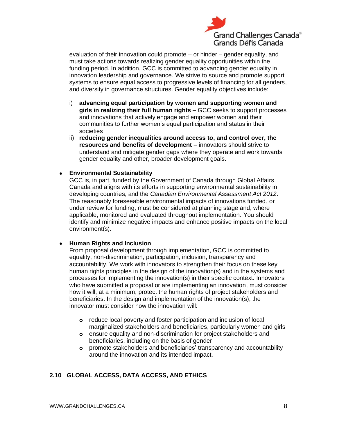

evaluation of their innovation could promote – or hinder – gender equality, and must take actions towards realizing gender equality opportunities within the funding period. In addition, GCC is committed to advancing gender equality in innovation leadership and governance. We strive to source and promote support systems to ensure equal access to progressive levels of financing for all genders, and diversity in governance structures. Gender equality objectives include:

- i) **advancing equal participation by women and supporting women and girls in realizing their full human rights –** GCC seeks to support processes and innovations that actively engage and empower women and their communities to further women's equal participation and status in their societies
- ii) **reducing gender inequalities around access to, and control over, the resources and benefits of development** – innovators should strive to understand and mitigate gender gaps where they operate and work towards gender equality and other, broader development goals.

#### • **Environmental Sustainability**

GCC is, in part, funded by the Government of Canada through Global Affairs Canada and aligns with its efforts in supporting environmental sustainability in developing countries, and the *Canadian Environmental Assessment Act 2012*. The reasonably foreseeable environmental impacts of innovations funded, or under review for funding, must be considered at planning stage and, where applicable, monitored and evaluated throughout implementation. You should identify and minimize negative impacts and enhance positive impacts on the local environment(s).

#### • **Human Rights and Inclusion**

From proposal development through implementation, GCC is committed to equality, non-discrimination, participation, inclusion, transparency and accountability. We work with innovators to strengthen their focus on these key human rights principles in the design of the innovation(s) and in the systems and processes for implementing the innovation(s) in their specific context. Innovators who have submitted a proposal or are implementing an innovation, must consider how it will, at a minimum, protect the human rights of project stakeholders and beneficiaries. In the design and implementation of the innovation(s), the innovator must consider how the innovation will:

- **o** reduce local poverty and foster participation and inclusion of local marginalized stakeholders and beneficiaries, particularly women and girls
- **o** ensure equality and non-discrimination for project stakeholders and beneficiaries, including on the basis of gender
- **o** promote stakeholders and beneficiaries' transparency and accountability around the innovation and its intended impact.

## <span id="page-11-0"></span>**2.10 GLOBAL ACCESS, DATA ACCESS, AND ETHICS**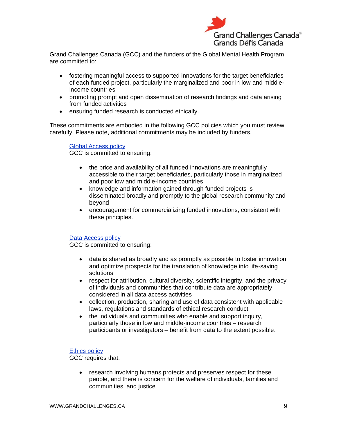

Grand Challenges Canada (GCC) and the funders of the Global Mental Health Program are committed to:

- fostering meaningful access to supported innovations for the target beneficiaries of each funded project, particularly the marginalized and poor in low and middleincome countries
- promoting prompt and open dissemination of research findings and data arising from funded activities
- ensuring funded research is conducted ethically.

These commitments are embodied in the following GCC policies which you must review carefully. Please note, additional commitments may be included by funders.

[Global Access policy](https://www.grandchallenges.ca/wp-content/uploads/2019/03/Global-Access-Policy_March-5-2019_ENG.pdf) GCC is committed to ensuring:

- the price and availability of all funded innovations are meaningfully accessible to their target beneficiaries, particularly those in marginalized and poor low and middle-income countries
- knowledge and information gained through funded projects is disseminated broadly and promptly to the global research community and beyond
- encouragement for commercializing funded innovations, consistent with these principles.

#### [Data Access policy](http://www.grandchallenges.ca/wp-content/uploads/2015/11/Data-Access-Policy_16May2016_EN.pdf)

GCC is committed to ensuring:

- data is shared as broadly and as promptly as possible to foster innovation and optimize prospects for the translation of knowledge into life-saving solutions
- respect for attribution, cultural diversity, scientific integrity, and the privacy of individuals and communities that contribute data are appropriately considered in all data access activities
- collection, production, sharing and use of data consistent with applicable laws, regulations and standards of ethical research conduct
- the individuals and communities who enable and support inquiry, particularly those in low and middle-income countries – research participants or investigators – benefit from data to the extent possible.

#### [Ethics policy](http://www.grandchallenges.ca/wp-content/uploads/2017/10/20170927-EthicsPolicy-EN.pdf)

GCC requires that:

• research involving humans protects and preserves respect for these people, and there is concern for the welfare of individuals, families and communities, and justice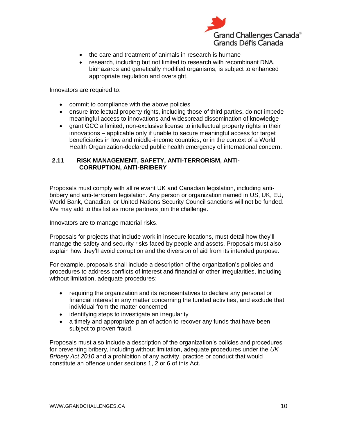

- the care and treatment of animals in research is humane
- research, including but not limited to research with recombinant DNA, biohazards and genetically modified organisms, is subject to enhanced appropriate regulation and oversight.

Innovators are required to:

- commit to compliance with the above policies
- ensure intellectual property rights, including those of third parties, do not impede meaningful access to innovations and widespread dissemination of knowledge
- grant GCC a limited, non-exclusive license to intellectual property rights in their innovations – applicable only if unable to secure meaningful access for target beneficiaries in low and middle-income countries, or in the context of a World Health Organization-declared public health emergency of international concern.

#### <span id="page-13-0"></span>**2.11 RISK MANAGEMENT, SAFETY, ANTI-TERRORISM, ANTI-CORRUPTION, ANTI-BRIBERY**

Proposals must comply with all relevant UK and Canadian legislation, including antibribery and anti-terrorism legislation. Any person or organization named in US, UK, EU, World Bank, Canadian, or United Nations Security Council sanctions will not be funded. We may add to this list as more partners join the challenge.

Innovators are to manage material risks.

Proposals for projects that include work in insecure locations, must detail how they'll manage the safety and security risks faced by people and assets. Proposals must also explain how they'll avoid corruption and the diversion of aid from its intended purpose.

For example, proposals shall include a description of the organization's policies and procedures to address conflicts of interest and financial or other irregularities, including without limitation, adequate procedures:

- requiring the organization and its representatives to declare any personal or financial interest in any matter concerning the funded activities, and exclude that individual from the matter concerned
- identifying steps to investigate an irregularity
- a timely and appropriate plan of action to recover any funds that have been subject to proven fraud.

Proposals must also include a description of the organization's policies and procedures for preventing bribery, including without limitation, adequate procedures under the *UK Bribery Act 2010* and a prohibition of any activity, practice or conduct that would constitute an offence under sections 1, 2 or 6 of this Act.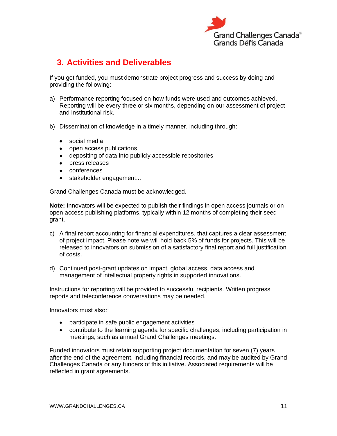

## <span id="page-14-0"></span>**3. Activities and Deliverables**

If you get funded, you must demonstrate project progress and success by doing and providing the following:

- a) Performance reporting focused on how funds were used and outcomes achieved. Reporting will be every three or six months, depending on our assessment of project and institutional risk.
- b) Dissemination of knowledge in a timely manner, including through:
	- social media
	- open access publications
	- depositing of data into publicly accessible repositories
	- press releases
	- conferences
	- stakeholder engagement...

Grand Challenges Canada must be acknowledged.

**Note:** Innovators will be expected to publish their findings in open access journals or on open access publishing platforms, typically within 12 months of completing their seed grant.

- c) A final report accounting for financial expenditures, that captures a clear assessment of project impact. Please note we will hold back 5% of funds for projects. This will be released to innovators on submission of a satisfactory final report and full justification of costs.
- d) Continued post-grant updates on impact, global access, data access and management of intellectual property rights in supported innovations.

Instructions for reporting will be provided to successful recipients. Written progress reports and teleconference conversations may be needed.

Innovators must also:

- participate in safe public engagement activities
- contribute to the learning agenda for specific challenges, including participation in meetings, such as annual Grand Challenges meetings.

Funded innovators must retain supporting project documentation for seven (7) years after the end of the agreement, including financial records, and may be audited by Grand Challenges Canada or any funders of this initiative. Associated requirements will be reflected in grant agreements.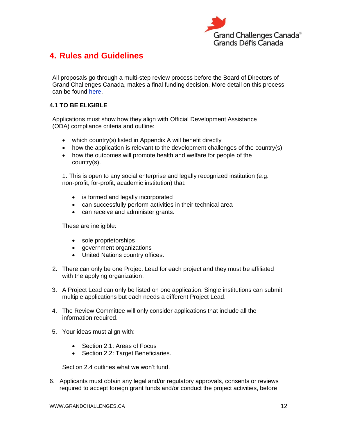

## <span id="page-15-0"></span>**4. Rules and Guidelines**

All proposals go through a multi-step review process before the Board of Directors of Grand Challenges Canada, makes a final funding decision. More detail on this process can be found [here.](http://www.grandchallenges.ca/our-people)

#### <span id="page-15-1"></span>**4.1 TO BE ELIGIBLE**

Applications must show how they align with Official Development Assistance (ODA) compliance criteria and outline:

- which country(s) listed in Appendix A will benefit directly
- how the application is relevant to the development challenges of the country(s)
- how the outcomes will promote health and welfare for people of the country(s).

1. This is open to any social enterprise and legally recognized institution (e.g. non-profit, for-profit, academic institution) that:

- is formed and legally incorporated
- can successfully perform activities in their technical area
- can receive and administer grants.

These are ineligible:

- sole proprietorships
- government organizations
- United Nations country offices.
- 2. There can only be one Project Lead for each project and they must be affiliated with the applying organization.
- 3. A Project Lead can only be listed on one application. Single institutions can submit multiple applications but each needs a different Project Lead.
- 4. The Review Committee will only consider applications that include all the information required.
- 5. Your ideas must align with:
	- Section 2.1: Areas of Focus
	- Section 2.2: Target Beneficiaries.

Section 2.4 outlines what we won't fund.

6. Applicants must obtain any legal and/or regulatory approvals, consents or reviews required to accept foreign grant funds and/or conduct the project activities, before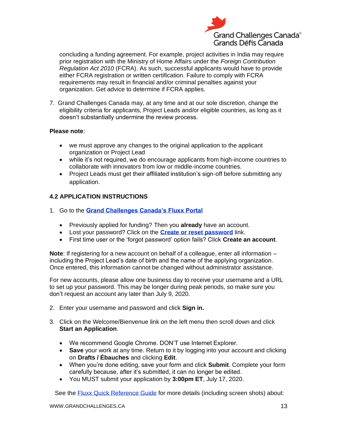

concluding a funding agreement. For example, project activities in India may require prior registration with the Ministry of Home Affairs under the *Foreign Contribution Regulation Act 2010* (FCRA). As such, successful applicants would have to provide either FCRA registration or written certification. Failure to comply with FCRA requirements may result in financial and/or criminal penalties against your organization. Get advice to determine if FCRA applies.

7. Grand Challenges Canada may, at any time and at our sole discretion, change the eligibility criteria for applicants, Project Leads and/or eligible countries, as long as it doesn't substantially undermine the review process.

#### **Please note**:

- we must approve any changes to the original application to the applicant organization or Project Lead
- while it's not required, we do encourage applicants from high-income countries to collaborate with innovators from low or middle-income countries.
- Project Leads must get their affiliated institution's sign-off before submitting any application.

## <span id="page-16-0"></span>**4.2 APPLICATION INSTRUCTIONS**

- 1. Go to the **[Grand Challenges Canada's Fluxx Portal](https://gcc.fluxx.io/)**
	- Previously applied for funding? Then you **already** have an account.
	- Lost your password? Click on the **[Create or reset password](https://gcc.fluxx.io/forgot_password)** link.
	- First time user or the 'forgot password' option fails? Click **Create an account**.

**Note**: If registering for a new account on behalf of a colleague, enter all information – including the Project Lead's date of birth and the name of the applying organization. Once entered, this information cannot be changed without administrator assistance.

For new accounts, please allow one business day to receive your username and a URL to set up your password. This may be longer during peak periods, so make sure you don't request an account any later than July 9, 2020.

- 2. Enter your username and password and click **Sign in.**
- 3. Click on the Welcome/Bienvenue link on the left menu then scroll down and click **Start an Application**.
	- We recommend Google Chrome. DON'T use Internet Explorer.
	- **Save** your work at any time. Return to it by logging into your account and clicking on **Drafts / Ébauches** and clicking **Edit**.
	- When you're done editing, save your form and click **Submit**. Complete your form carefully because, after it's submitted, it can no longer be edited.
	- You MUST submit your application by **3:00pm ET**, July 17, 2020.

See the **Fluxx Quick Reference Guide** for more details (including screen shots) about: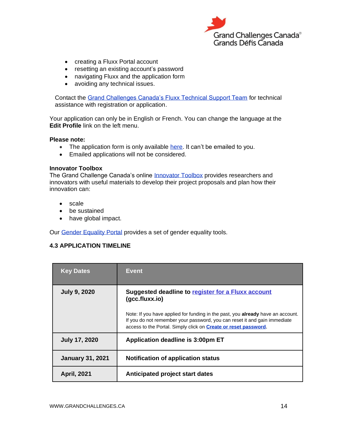

- creating a Fluxx Portal account
- resetting an existing account's password
- navigating Fluxx and the application form
- avoiding any technical issues.

Contact the [Grand Challenges Canada's Fluxx Technical Support Team](http://www.grandchallenges.ca/fluxxsupport/) for technical assistance with registration or application.

Your application can only be in English or French. You can change the language at the **Edit Profile** link on the left menu.

#### **Please note:**

- The application form is only available [here.](http://www.gcc.fluxx.io/) It can't be emailed to you.
- Emailed applications will not be considered.

#### **Innovator Toolbox**

The Grand Challenge Canada's online [Innovator Toolbox](https://www.grandchallenges.ca/funding-opportunities/innovator-toolbox/) provides researchers and innovators with useful materials to develop their project proposals and plan how their innovation can:

- scale
- be sustained
- have global impact.

<span id="page-17-0"></span>Our [Gender Equality Portal](http://www.grandchallenges.ca/funding-opportunities/gender/) provides a set of gender equality tools.

## **4.3 APPLICATION TIMELINE**

| <b>Key Dates</b>        | <b>Event</b>                                                                                                                                                                                                                            |
|-------------------------|-----------------------------------------------------------------------------------------------------------------------------------------------------------------------------------------------------------------------------------------|
| <b>July 9, 2020</b>     | Suggested deadline to register for a Fluxx account<br>$(gcc-fluxx.io)$                                                                                                                                                                  |
|                         | Note: If you have applied for funding in the past, you already have an account.<br>If you do not remember your password, you can reset it and gain immediate<br>access to the Portal. Simply click on <b>Create or reset password</b> . |
| <b>July 17, 2020</b>    | Application deadline is 3:00pm ET                                                                                                                                                                                                       |
| <b>January 31, 2021</b> | <b>Notification of application status</b>                                                                                                                                                                                               |
| <b>April, 2021</b>      | Anticipated project start dates                                                                                                                                                                                                         |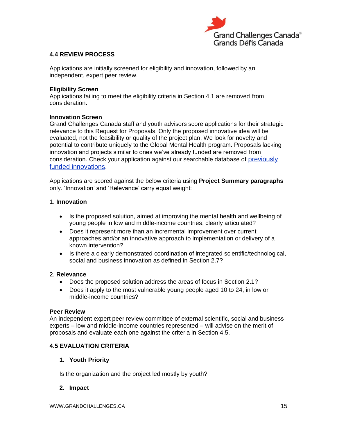

## <span id="page-18-0"></span>**4.4 REVIEW PROCESS**

Applications are initially screened for eligibility and innovation, followed by an independent, expert peer review.

#### **Eligibility Screen**

Applications failing to meet the eligibility criteria in Section 4.1 are removed from consideration.

#### **Innovation Screen**

Grand Challenges Canada staff and youth advisors score applications for their strategic relevance to this Request for Proposals. Only the proposed innovative idea will be evaluated, not the feasibility or quality of the project plan. We look for novelty and potential to contribute uniquely to the Global Mental Health program. Proposals lacking innovation and projects similar to ones we've already funded are removed from consideration. Check your application against our searchable database of previously [funded innovations](https://www.grandchallenges.ca/who-we-are/discover-our-innovations-and-results/).

Applications are scored against the below criteria using **Project Summary paragraphs**  only. 'Innovation' and 'Relevance' carry equal weight:

#### 1. **Innovation**

- Is the proposed solution, aimed at improving the mental health and wellbeing of young people in low and middle-income countries, clearly articulated?
- Does it represent more than an incremental improvement over current approaches and/or an innovative approach to implementation or delivery of a known intervention?
- Is there a clearly demonstrated coordination of integrated scientific/technological, social and business innovation as defined in Section 2.7?

#### 2. **Relevance**

- Does the proposed solution address the areas of focus in Section 2.1?
- Does it apply to the most vulnerable young people aged 10 to 24, in low or middle-income countries?

#### **Peer Review**

An independent expert peer review committee of external scientific, social and business experts – low and middle-income countries represented – will advise on the merit of proposals and evaluate each one against the criteria in Section 4.5.

#### <span id="page-18-1"></span>**4.5 EVALUATION CRITERIA**

#### **1. Youth Priority**

Is the organization and the project led mostly by youth?

#### **2. Impact**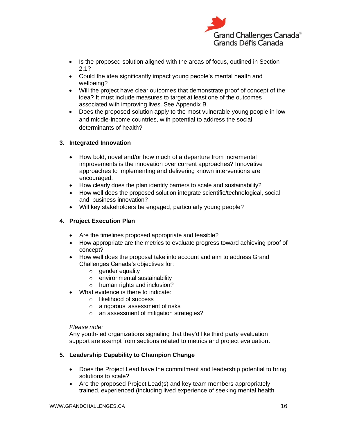

- Is the proposed solution aligned with the areas of focus, outlined in Section 2.1?
- Could the idea significantly impact young people's mental health and wellbeing?
- Will the project have clear outcomes that demonstrate proof of concept of the idea? It must include measures to target at least one of the outcomes associated with improving lives. See Appendix B.
- Does the proposed solution apply to the most vulnerable young people in low and middle-income countries, with potential to address the social determinants of health?

## **3. Integrated Innovation**

- How bold, novel and/or how much of a departure from incremental improvements is the innovation over current approaches? Innovative approaches to implementing and delivering known interventions are encouraged.
- How clearly does the plan identify barriers to scale and sustainability?
- How well does the proposed solution integrate scientific/technological, social and business innovation?
- Will key stakeholders be engaged, particularly young people?

## **4. Project Execution Plan**

- Are the timelines proposed appropriate and feasible?
- How appropriate are the metrics to evaluate progress toward achieving proof of concept?
- How well does the proposal take into account and aim to address Grand Challenges Canada's objectives for:
	- o gender equality
	- o environmental sustainability
	- o human rights and inclusion?
- What evidence is there to indicate:
	- o likelihood of success
	- o a rigorous assessment of risks
	- o an assessment of mitigation strategies?

## *Please note:*

Any youth-led organizations signaling that they'd like third party evaluation support are exempt from sections related to metrics and project evaluation.

## **5. Leadership Capability to Champion Change**

- Does the Project Lead have the commitment and leadership potential to bring solutions to scale?
- Are the proposed Project Lead(s) and key team members appropriately trained, experienced (including lived experience of seeking mental health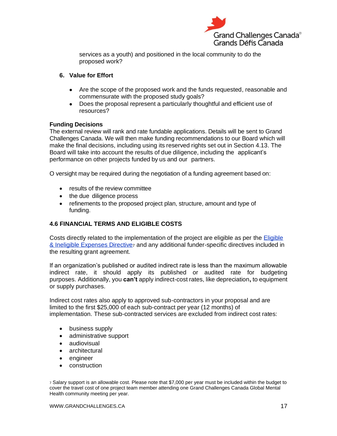

services as a youth) and positioned in the local community to do the proposed work?

#### **6. Value for Effort**

- Are the scope of the proposed work and the funds requested, reasonable and commensurate with the proposed study goals?
- Does the proposal represent a particularly thoughtful and efficient use of resources?

#### **Funding Decisions**

The external review will rank and rate fundable applications. Details will be sent to Grand Challenges Canada. We will then make funding recommendations to our Board which will make the final decisions, including using its reserved rights set out in Section 4.13. The Board will take into account the results of due diligence, including the applicant's performance on other projects funded by us and our partners.

O versight may be required during the negotiation of a funding agreement based on:

- results of the review committee
- the due diligence process
- refinements to the proposed project plan, structure, amount and type of funding.

## <span id="page-20-0"></span>**4.6 FINANCIAL TERMS AND ELIGIBLE COSTS**

Costs directly related to the implementation of the project are eligible as per th[e](http://www.grandchallenges.ca/wp-content/uploads/2015/11/Eligible-and-Ineligible-Expenses-Directive_02Dec2016_EN.pdf) [Eligible](http://www.grandchallenges.ca/wp-content/uploads/2018/11/EligibleCostDirective-2018Nov05-EN.pdf)  [& Ineligible Expenses Directive](http://www.grandchallenges.ca/wp-content/uploads/2018/11/EligibleCostDirective-2018Nov05-EN.pdf)<sup>7</sup> and any additional funder-specific directives included in the resulting grant agreement.

If an organization's published or audited indirect rate is less than the maximum allowable indirect rate, it should apply its published or audited rate for budgeting purposes. Additionally, you **can't** apply indirect-cost rates, like depreciation**,** to equipment or supply purchases.

Indirect cost rates also apply to approved sub-contractors in your proposal and are limited to the first \$25,000 of each sub-contract per year (12 months) of implementation. These sub-contracted services are excluded from indirect cost rates:

- business supply
- administrative support
- audiovisual
- architectural
- engineer
- construction

<sup>7</sup> Salary support is an allowable cost. Please note that \$7,000 per year must be included within the budget to cover the travel cost of one project team member attending one Grand Challenges Canada Global Mental Health community meeting per year.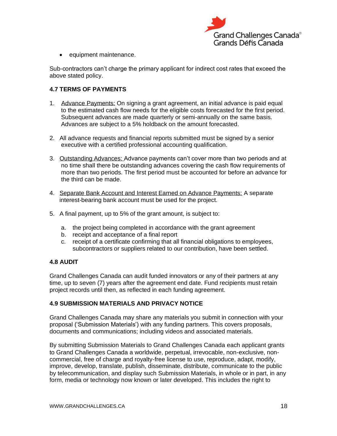

• equipment maintenance.

Sub-contractors can't charge the primary applicant for indirect cost rates that exceed the above stated policy.

## <span id="page-21-0"></span>**4.7 TERMS OF PAYMENTS**

- 1. Advance Payments: On signing a grant agreement, an initial advance is paid equal to the estimated cash flow needs for the eligible costs forecasted for the first period. Subsequent advances are made quarterly or semi-annually on the same basis. Advances are subject to a 5% holdback on the amount forecasted.
- 2. All advance requests and financial reports submitted must be signed by a senior executive with a certified professional accounting qualification.
- 3. Outstanding Advances: Advance payments can't cover more than two periods and at no time shall there be outstanding advances covering the cash flow requirements of more than two periods. The first period must be accounted for before an advance for the third can be made.
- 4. Separate Bank Account and Interest Earned on Advance Payments: A separate interest-bearing bank account must be used for the project.
- 5. A final payment, up to 5% of the grant amount, is subject to:
	- a. the project being completed in accordance with the grant agreement
	- b. receipt and acceptance of a final report
	- c. receipt of a certificate confirming that all financial obligations to employees, subcontractors or suppliers related to our contribution, have been settled.

## <span id="page-21-1"></span>**4.8 AUDIT**

Grand Challenges Canada can audit funded innovators or any of their partners at any time, up to seven (7) years after the agreement end date. Fund recipients must retain project records until then, as reflected in each funding agreement.

## <span id="page-21-2"></span>**4.9 SUBMISSION MATERIALS AND PRIVACY NOTICE**

Grand Challenges Canada may share any materials you submit in connection with your proposal ('Submission Materials') with any funding partners. This covers proposals, documents and communications; including videos and associated materials.

By submitting Submission Materials to Grand Challenges Canada each applicant grants to Grand Challenges Canada a worldwide, perpetual, irrevocable, non-exclusive, noncommercial, free of charge and royalty-free license to use, reproduce, adapt, modify, improve, develop, translate, publish, disseminate, distribute, communicate to the public by telecommunication, and display such Submission Materials, in whole or in part, in any form, media or technology now known or later developed. This includes the right to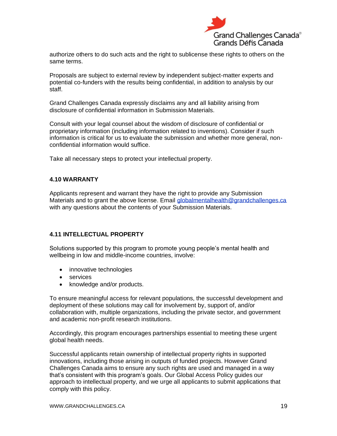

authorize others to do such acts and the right to sublicense these rights to others on the same terms.

Proposals are subject to external review by independent subject-matter experts and potential co-funders with the results being confidential, in addition to analysis by our staff.

Grand Challenges Canada expressly disclaims any and all liability arising from disclosure of confidential information in Submission Materials.

Consult with your legal counsel about the wisdom of disclosure of confidential or proprietary information (including information related to inventions). Consider if such information is critical for us to evaluate the submission and whether more general, nonconfidential information would suffice.

Take all necessary steps to protect your intellectual property.

#### <span id="page-22-0"></span>**4.10 WARRANTY**

Applicants represent and warrant they have the right to provide any Submission Materials and to grant the above license. Email [globalmentalhealth@grandchallenges.ca](mailto:globalmentalhealth@grandchallenges.ca) with any questions about the contents of your Submission Materials.

#### <span id="page-22-1"></span>**4.11 INTELLECTUAL PROPERTY**

Solutions supported by this program to promote young people's mental health and wellbeing in low and middle-income countries, involve:

- innovative technologies
- services
- knowledge and/or products.

To ensure meaningful access for relevant populations, the successful development and deployment of these solutions may call for involvement by, support of, and/or collaboration with, multiple organizations, including the private sector, and government and academic non-profit research institutions.

Accordingly, this program encourages partnerships essential to meeting these urgent global health needs.

Successful applicants retain ownership of intellectual property rights in supported innovations, including those arising in outputs of funded projects. However Grand Challenges Canada aims to ensure any such rights are used and managed in a way that's consistent with this program's goals. Our Global Access Policy guides our approach to intellectual property, and we urge all applicants to submit applications that comply with this policy.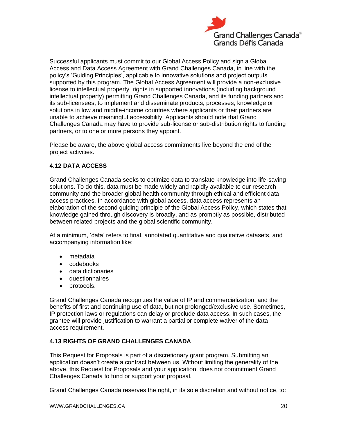

<span id="page-23-0"></span>Successful applicants must commit to our Global Access Policy and sign a Global Access and Data Access Agreement with Grand Challenges Canada, in line with the policy's 'Guiding Principles', applicable to innovative solutions and project outputs supported by this program. The Global Access Agreement will provide a non-exclusive license to intellectual property rights in supported innovations (including background intellectual property) permitting Grand Challenges Canada, and its funding partners and its sub-licensees, to implement and disseminate products, processes, knowledge or solutions in low and middle-income countries where applicants or their partners are unable to achieve meaningful accessibility. Applicants should note that Grand Challenges Canada may have to provide sub-license or sub-distribution rights to funding partners, or to one or more persons they appoint.

Please be aware, the above global access commitments live beyond the end of the project activities.

## **4.12 DATA ACCESS**

Grand Challenges Canada seeks to optimize data to translate knowledge into life-saving solutions. To do this, data must be made widely and rapidly available to our research community and the broader global health community through ethical and efficient data access practices. In accordance with global access, data access represents an elaboration of the second guiding principle of the Global Access Policy, which states that knowledge gained through discovery is broadly, and as promptly as possible, distributed between related projects and the global scientific community.

At a minimum, 'data' refers to final, annotated quantitative and qualitative datasets, and accompanying information like:

- metadata
- codebooks
- data dictionaries
- questionnaires
- protocols.

Grand Challenges Canada recognizes the value of IP and commercialization, and the benefits of first and continuing use of data, but not prolonged/exclusive use. Sometimes, IP protection laws or regulations can delay or preclude data access. In such cases, the grantee will provide justification to warrant a partial or complete waiver of the data access requirement.

## <span id="page-23-1"></span>**4.13 RIGHTS OF GRAND CHALLENGES CANADA**

This Request for Proposals is part of a discretionary grant program. Submitting an application doesn't create a contract between us. Without limiting the generality of the above, this Request for Proposals and your application, does not commitment Grand Challenges Canada to fund or support your proposal.

Grand Challenges Canada reserves the right, in its sole discretion and without notice, to: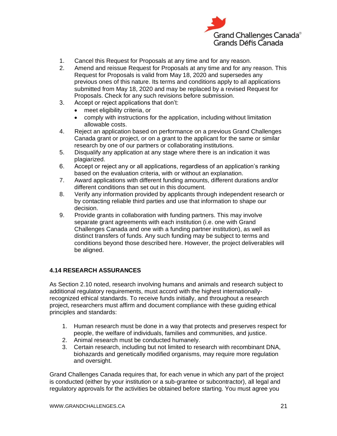

- 1. Cancel this Request for Proposals at any time and for any reason.
- 2. Amend and reissue Request for Proposals at any time and for any reason. This Request for Proposals is valid from May 18, 2020 and supersedes any previous ones of this nature. Its terms and conditions apply to all applications submitted from May 18, 2020 and may be replaced by a revised Request for Proposals. Check for any such revisions before submission.
- 3. Accept or reject applications that don't:
	- meet eligibility criteria, or
	- comply with instructions for the application, including without limitation allowable costs.
- 4. Reject an application based on performance on a previous Grand Challenges Canada grant or project, or on a grant to the applicant for the same or similar research by one of our partners or collaborating institutions.
- 5. Disqualify any application at any stage where there is an indication it was plagiarized.
- 6. Accept or reject any or all applications, regardless of an application's ranking based on the evaluation criteria, with or without an explanation.
- 7. Award applications with different funding amounts, different durations and/or different conditions than set out in this document.
- 8. Verify any information provided by applicants through independent research or by contacting reliable third parties and use that information to shape our decision.
- 9. Provide grants in collaboration with funding partners. This may involve separate grant agreements with each institution (i.e. one with Grand Challenges Canada and one with a funding partner institution), as well as distinct transfers of funds. Any such funding may be subject to terms and conditions beyond those described here. However, the project deliverables will be aligned.

## <span id="page-24-0"></span>**4.14 RESEARCH ASSURANCES**

As Section 2.10 noted, research involving humans and animals and research subject to additional regulatory requirements, must accord with the highest internationallyrecognized ethical standards. To receive funds initially, and throughout a research project, researchers must affirm and document compliance with these guiding ethical principles and standards:

- 1. Human research must be done in a way that protects and preserves respect for people, the welfare of individuals, families and communities, and justice.
- 2. Animal research must be conducted humanely.
- 3. Certain research, including but not limited to research with recombinant DNA, biohazards and genetically modified organisms, may require more regulation and oversight.

Grand Challenges Canada requires that, for each venue in which any part of the project is conducted (either by your institution or a sub-grantee or subcontractor), all legal and regulatory approvals for the activities be obtained before starting. You must agree you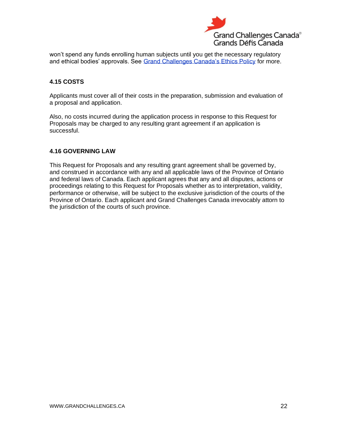

won't spend any funds enrolling human subjects until you get the necessary regulatory and ethical bodies' approvals. See [Grand Challenges Canada's Ethics Policy](https://www.grandchallenges.ca/wp-content/uploads/2017/10/20170927-EthicsPolicy-EN.pdf) for more.

## <span id="page-25-0"></span>**4.15 COSTS**

Applicants must cover all of their costs in the preparation, submission and evaluation of a proposal and application.

Also, no costs incurred during the application process in response to this Request for Proposals may be charged to any resulting grant agreement if an application is successful.

## <span id="page-25-1"></span>**4.16 GOVERNING LAW**

This Request for Proposals and any resulting grant agreement shall be governed by, and construed in accordance with any and all applicable laws of the Province of Ontario and federal laws of Canada. Each applicant agrees that any and all disputes, actions or proceedings relating to this Request for Proposals whether as to interpretation, validity, performance or otherwise, will be subject to the exclusive jurisdiction of the courts of the Province of Ontario. Each applicant and Grand Challenges Canada irrevocably attorn to the jurisdiction of the courts of such province.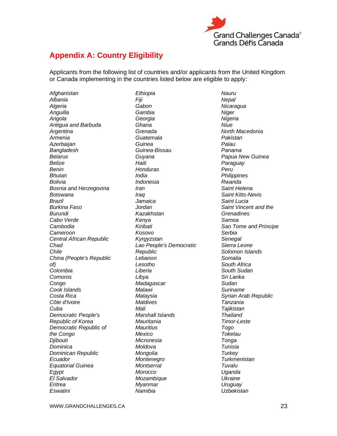

## <span id="page-26-0"></span>**Appendix A: Country Eligibility**

Applicants from the following list of countries and/or applicants from the United Kingdom or Canada implementing in the countries listed below are eligible to apply:

*Afghanistan Albania Algeria Anguilla Angola Antigua and Barbuda Argentina Armenia Azerbaijan Bangladesh Belarus Belize Benin Bhutan Bolivia Bosnia and Herzegovina Botswana Brazil Burkina Faso Burundi Cabo Verde Cambodia Cameroon Central African Republic Chad Chile China (People's Republic of) Colombia Comoros Congo Cook Islands Costa Rica Côte d'Ivoire Cuba Democratic People's Republic of Korea Democratic Republic of the Congo Djibouti Dominica Dominican Republic Ecuador Equatorial Guinea Egypt El Salvador Eritrea Eswatini*

*Ethiopia Fiji Gabon Gambia Georgia Ghana Grenada Guatemala Guinea Guinea-Bissau Guyana Haiti Honduras India Indonesia Iran Iraq Jamaica Jordan Kazakhstan Kenya Kiribati Kosovo Kyrgyzstan Lao People's Democratic Republic Lebanon Lesotho Liberia Libya Madagascar Malawi Malaysia Maldives Mali Marshall Islands Mauritania Mauritius Mexico Micronesia Moldova Mongolia Montenegro Montserrat Morocco Mozambique Myanmar Namibia*

*Nauru Nepal Nicaragua Niger Nigeria Niue North Macedonia Pakistan Palau Panama Papua New Guinea Paraguay Peru Philippines Rwanda Saint Helena Saint Kitts-Nevis Saint Lucia Saint Vincent and the Grenadines Samoa Sao Tome and Principe Serbia Senegal Sierra Leone Solomon Islands Somalia South Africa South Sudan Sri Lanka Sudan Suriname Syrian Arab Republic Tanzania Tajikistan Thailand Timor-Leste Togo Tokelau Tonga Tunisia Turkey Turkmenistan Tuvalu Uganda Ukraine Uruguay Uzbekistan*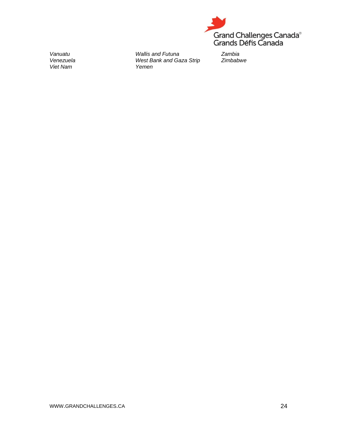

*Vanuatu Venezuela Viet Nam*

*Wallis and Futuna West Bank and Gaza Strip Yemen* 

*Zambia Zimbabwe*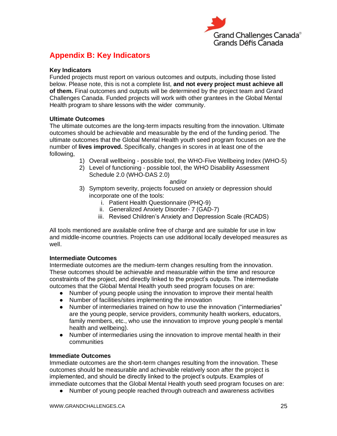

## <span id="page-28-0"></span>**Appendix B: Key Indicators**

#### **Key Indicators**

Funded projects must report on various outcomes and outputs, including those listed below. Please note, this is not a complete list, **and not every project must achieve all of them.** Final outcomes and outputs will be determined by the project team and Grand Challenges Canada. Funded projects will work with other grantees in the Global Mental Health program to share lessons with the wider community.

#### **Ultimate Outcomes**

The ultimate outcomes are the long-term impacts resulting from the innovation. Ultimate outcomes should be achievable and measurable by the end of the funding period. The ultimate outcomes that the Global Mental Health youth seed program focuses on are the number of **lives improved.** Specifically, changes in scores in at least one of the following,

- 1) Overall wellbeing possible tool, the WHO-Five Wellbeing Index (WHO-5)
- 2) Level of functioning possible tool, the WHO Disability Assessment Schedule 2.0 (WHO-DAS 2.0)

#### and/or

- 3) Symptom severity, projects focused on anxiety or depression should incorporate one of the tools:
	- i. Patient Health Questionnaire (PHQ-9)
	- ii. Generalized Anxiety Disorder- 7 (GAD-7)
	- iii. Revised Children's Anxiety and Depression Scale (RCADS)

All tools mentioned are available online free of charge and are suitable for use in low and middle-income countries. Projects can use additional locally developed measures as well.

#### **Intermediate Outcomes**

Intermediate outcomes are the medium-term changes resulting from the innovation. These outcomes should be achievable and measurable within the time and resource constraints of the project, and directly linked to the project's outputs. The intermediate outcomes that the Global Mental Health youth seed program focuses on are:

- Number of young people using the innovation to improve their mental health
- Number of facilities/sites implementing the innovation
- Number of intermediaries trained on how to use the innovation ("intermediaries" are the young people, service providers, community health workers, educators, family members, etc., who use the innovation to improve young people's mental health and wellbeing).
- Number of intermediaries using the innovation to improve mental health in their communities

#### **Immediate Outcomes**

Immediate outcomes are the short-term changes resulting from the innovation. These outcomes should be measurable and achievable relatively soon after the project is implemented, and should be directly linked to the project's outputs. Examples of immediate outcomes that the Global Mental Health youth seed program focuses on are:

● Number of young people reached through outreach and awareness activities